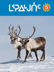

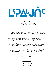

### ႶႶናჼႦჂჼ

Published by Inhabit Education | www.inhabiteducation.com

Inhabit Education (Iqaluit), P.O. Box 2129, Iqaluit, Nunavut, X0A 1H0 (Toronto), 191 Eglinton Avenue East, Suite 302, Toronto, Ontario, M4P 1K1

Design and layout copyright © 2016 Inhabit Education Text copyright © Inhabit Education Photographs: © Sergey Krasnoshchokov/shutterstock.com, cover, page 4, 5 · © Scandphoto/shutterstock.com, page 2 · © GM Photo Images / Alamy Stock Photo, page 3 · © Christopher Meder/shutterstock.com, page 6 · © PavelSvoboda/shutterstock.com, page 7 · © Sean Donohue Photo/ shutterstock.com, page 8 · © Dan Bach Kristensen/shutterstock.com, page 9 · © Volt Collection/shutterstock.com, page 10 · © Ton Koene / Alamy Stock

Photo, page 11 ·© Yongyut Kumsri/shutterstock.com, page 12

All rights reserved. The use of any part of this publication reproduced, transmitted in any form or by any means, electronic, mechanical, photocopying, recording, or otherwise, or stored in a retrievable system, without written consent of the publisher, is an infringement of copyright law.

Printed in Canada.

ISBN: 978-1-987958-79-9

440

**INHABIT** EDUCATION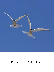# $Dd4^b L^{c} \dot{D}^b \eta^a \Gamma4^b.$

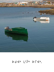# $Dd4^b L^{c} \dot{D}^b D\Gamma4^b.$

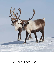

# $Dd4^b L^{c}b D^b D^b.$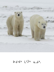

# $Pd 4^b$   $L^{c}$  $\dot{P}^b$  a  $\dot{\omega}^b$ .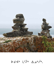

# $DdJ^b L^{c}D^{b} \Delta\omega^{b}D^{b}.$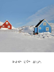

### $DdJ^b L^{c} \dot{D}^b \Delta^{L} \dot{D}^b.$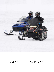# $Dd4^b L^{c} \dot{P}^b$ <sup>6</sup> Luppe Sb CD  $\dot{P}^b$ .

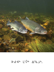

# $Dd4^b L^{c} \dot{D}^b \Delta^{c} b \dot{\Delta}^{b}.$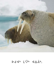

## $Dd4^b L^{c} \dot{P}^b 4\Delta \dot{\Lambda}^b.$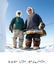

## Ddd<sup>b</sup> Lipb druarbn.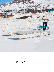# $Dd4^b 5dLd^b.$